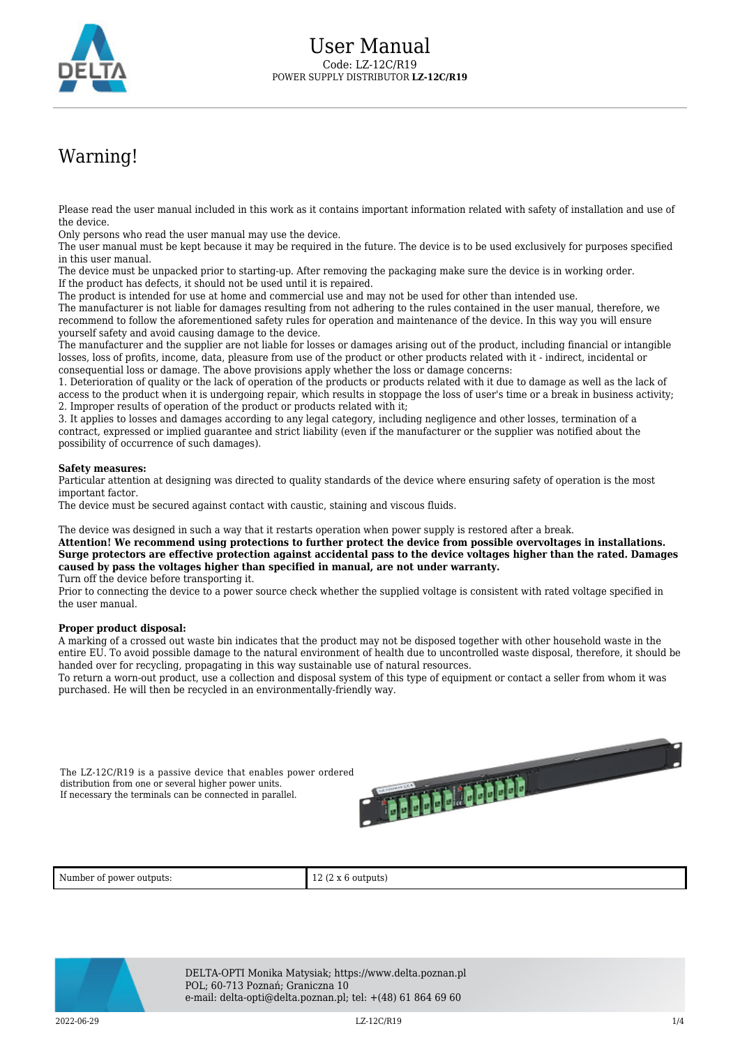

## Warning!

Please read the user manual included in this work as it contains important information related with safety of installation and use of the device.

Only persons who read the user manual may use the device.

The user manual must be kept because it may be required in the future. The device is to be used exclusively for purposes specified in this user manual.

The device must be unpacked prior to starting-up. After removing the packaging make sure the device is in working order. If the product has defects, it should not be used until it is repaired.

The product is intended for use at home and commercial use and may not be used for other than intended use.

The manufacturer is not liable for damages resulting from not adhering to the rules contained in the user manual, therefore, we recommend to follow the aforementioned safety rules for operation and maintenance of the device. In this way you will ensure yourself safety and avoid causing damage to the device.

The manufacturer and the supplier are not liable for losses or damages arising out of the product, including financial or intangible losses, loss of profits, income, data, pleasure from use of the product or other products related with it - indirect, incidental or consequential loss or damage. The above provisions apply whether the loss or damage concerns:

1. Deterioration of quality or the lack of operation of the products or products related with it due to damage as well as the lack of access to the product when it is undergoing repair, which results in stoppage the loss of user's time or a break in business activity; 2. Improper results of operation of the product or products related with it;

3. It applies to losses and damages according to any legal category, including negligence and other losses, termination of a contract, expressed or implied guarantee and strict liability (even if the manufacturer or the supplier was notified about the possibility of occurrence of such damages).

## **Safety measures:**

Particular attention at designing was directed to quality standards of the device where ensuring safety of operation is the most important factor.

The device must be secured against contact with caustic, staining and viscous fluids.

The device was designed in such a way that it restarts operation when power supply is restored after a break.

**Attention! We recommend using protections to further protect the device from possible overvoltages in installations. Surge protectors are effective protection against accidental pass to the device voltages higher than the rated. Damages caused by pass the voltages higher than specified in manual, are not under warranty.** Turn off the device before transporting it.

Prior to connecting the device to a power source check whether the supplied voltage is consistent with rated voltage specified in the user manual.

## **Proper product disposal:**

A marking of a crossed out waste bin indicates that the product may not be disposed together with other household waste in the entire EU. To avoid possible damage to the natural environment of health due to uncontrolled waste disposal, therefore, it should be handed over for recycling, propagating in this way sustainable use of natural resources.

To return a worn-out product, use a collection and disposal system of this type of equipment or contact a seller from whom it was purchased. He will then be recycled in an environmentally-friendly way.

The LZ-12C/R19 is a passive device that enables power ordered distribution from one or several higher power units. If necessary the terminals can be connected in parallel.



Number of power outputs:  $12 (2 \times 6 \text{ outputs})$ 



DELTA-OPTI Monika Matysiak; https://www.delta.poznan.pl POL; 60-713 Poznań; Graniczna 10 e-mail: delta-opti@delta.poznan.pl; tel: +(48) 61 864 69 60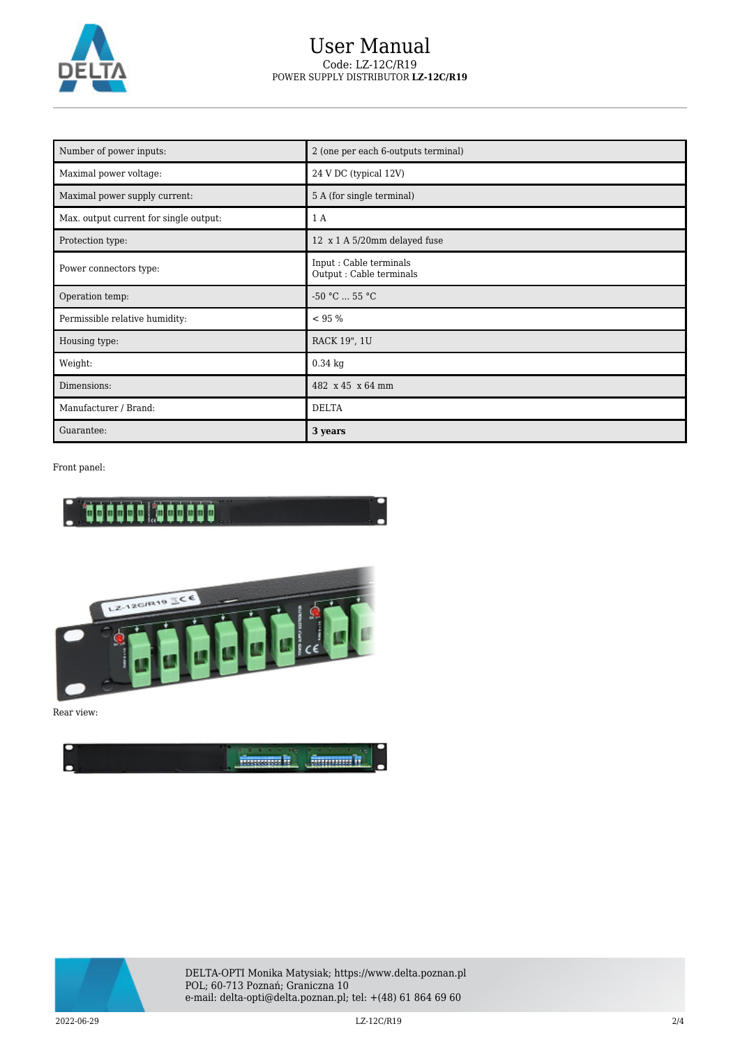

## User Manual Code: LZ-12C/R19 POWER SUPPLY DISTRIBUTOR **LZ-12C/R19**

| Number of power inputs:                | 2 (one per each 6-outputs terminal)                 |
|----------------------------------------|-----------------------------------------------------|
| Maximal power voltage:                 | 24 V DC (typical 12V)                               |
| Maximal power supply current:          | 5 A (for single terminal)                           |
| Max. output current for single output: | 1 A                                                 |
| Protection type:                       | 12 x 1 A 5/20mm delayed fuse                        |
| Power connectors type:                 | Input : Cable terminals<br>Output : Cable terminals |
| Operation temp:                        | $-50 °C  55 °C$                                     |
| Permissible relative humidity:         | < 95 %                                              |
| Housing type:                          | RACK 19", 1U                                        |
| Weight:                                | $0.34$ kg                                           |
| Dimensions:                            | 482 x 45 x 64 mm                                    |
| Manufacturer / Brand:                  | <b>DELTA</b>                                        |
| Guarantee:                             | 3 years                                             |

Front panel:





Rear view:





DELTA-OPTI Monika Matysiak; https://www.delta.poznan.pl POL; 60-713 Poznań; Graniczna 10 e-mail: delta-opti@delta.poznan.pl; tel: +(48) 61 864 69 60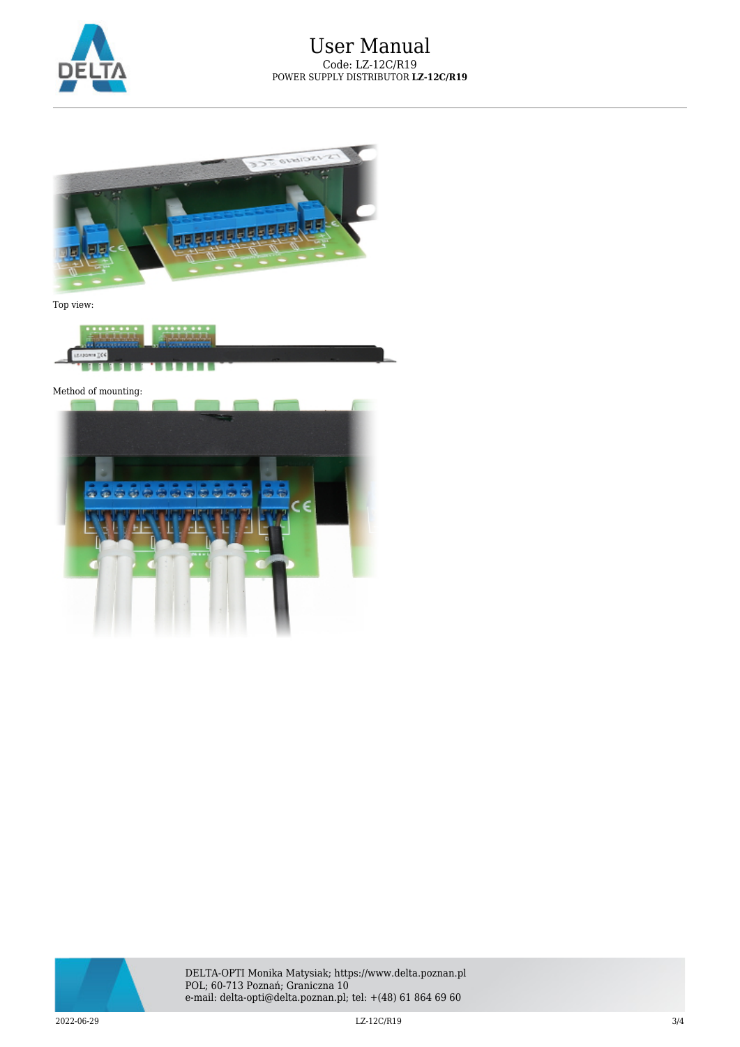



Top view:



Method of mounting: